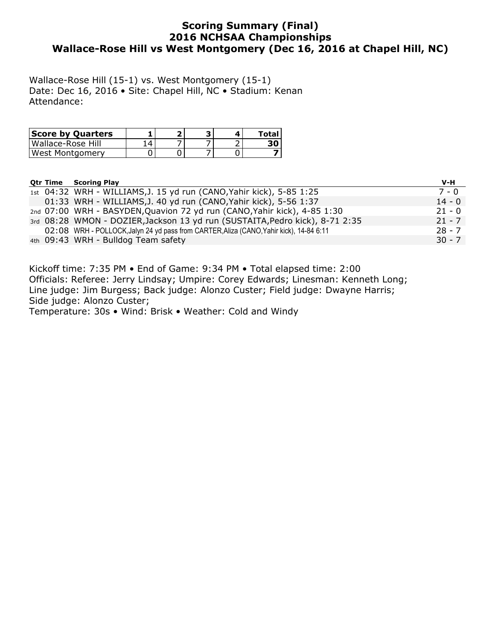### **Scoring Summary (Final) 2016 NCHSAA Championships Wallace-Rose Hill vs West Montgomery (Dec 16, 2016 at Chapel Hill, NC)**

Wallace-Rose Hill (15-1) vs. West Montgomery (15-1) Date: Dec 16, 2016 • Site: Chapel Hill, NC • Stadium: Kenan Attendance:

| <b>Score by Quarters</b> |  |  | Total |
|--------------------------|--|--|-------|
| Wallace-Rose Hill        |  |  |       |
| West Montgomery          |  |  |       |

|  | <b>Otr Time Scoring Play</b>                                                            | V-H      |
|--|-----------------------------------------------------------------------------------------|----------|
|  | 1st 04:32 WRH - WILLIAMS, J. 15 yd run (CANO, Yahir kick), 5-85 1:25                    | 7 - 0    |
|  | 01:33 WRH - WILLIAMS, J. 40 yd run (CANO, Yahir kick), 5-56 1:37                        | $14 - 0$ |
|  | 2nd 07:00 WRH - BASYDEN, Quavion 72 yd run (CANO, Yahir kick), 4-85 1:30                | $21 - 0$ |
|  | 3rd 08:28 WMON - DOZIER, Jackson 13 yd run (SUSTAITA, Pedro kick), 8-71 2:35            | $21 - 7$ |
|  | 02:08 WRH - POLLOCK, Jalyn 24 yd pass from CARTER, Aliza (CANO, Yahir kick), 14-84 6:11 | $28 - 7$ |
|  | 4th 09:43 WRH - Bulldog Team safety                                                     | $30 - 7$ |

Kickoff time: 7:35 PM • End of Game: 9:34 PM • Total elapsed time: 2:00 Officials: Referee: Jerry Lindsay; Umpire: Corey Edwards; Linesman: Kenneth Long; Line judge: Jim Burgess; Back judge: Alonzo Custer; Field judge: Dwayne Harris; Side judge: Alonzo Custer;

Temperature: 30s • Wind: Brisk • Weather: Cold and Windy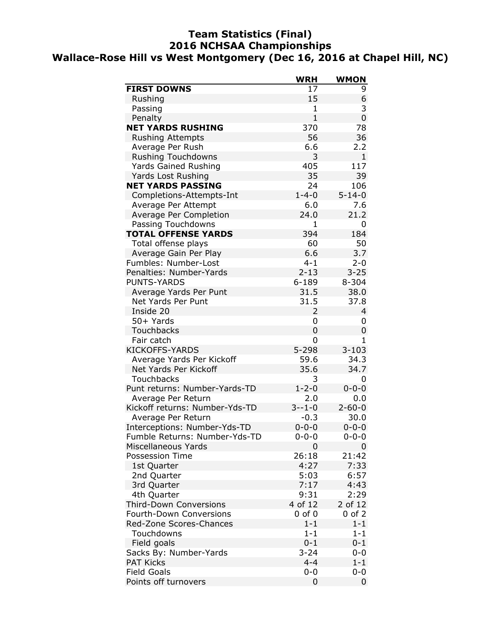### **Team Statistics (Final) 2016 NCHSAA Championships Wallace-Rose Hill vs West Montgomery (Dec 16, 2016 at Chapel Hill, NC)**

|                                | <b>WRH</b>    | WMON         |
|--------------------------------|---------------|--------------|
| <b>FIRST DOWNS</b>             | 17            | 9            |
| Rushing                        | 15            | 6            |
| Passing                        | 1             | 3            |
| Penalty                        | $\mathbf{1}$  | 0            |
| <b>NET YARDS RUSHING</b>       | 370           | 78           |
| <b>Rushing Attempts</b>        | 56            | 36           |
| Average Per Rush               | 6.6           | 2.2          |
| <b>Rushing Touchdowns</b>      | 3             | $\mathbf{1}$ |
| <b>Yards Gained Rushing</b>    | 405           | 117          |
| Yards Lost Rushing             | 35            | 39           |
| <b>NET YARDS PASSING</b>       | 24            | 106          |
| Completions-Attempts-Int       | $1 - 4 - 0$   | $5 - 14 - 0$ |
| Average Per Attempt            | 6.0           | 7.6          |
| Average Per Completion         | 24.0          | 21.2         |
| Passing Touchdowns             | 1             | 0            |
| <b>TOTAL OFFENSE YARDS</b>     | 394           | 184          |
| Total offense plays            | 60            | 50           |
| Average Gain Per Play          | 6.6           | 3.7          |
| Fumbles: Number-Lost           | $4 - 1$       | $2 - 0$      |
| Penalties: Number-Yards        | $2 - 13$      | $3 - 25$     |
| <b>PUNTS-YARDS</b>             | $6 - 189$     | 8-304        |
| Average Yards Per Punt         | 31.5          | 38.0         |
| Net Yards Per Punt             | 31.5          | 37.8         |
| Inside 20                      | 2             | 4            |
| 50+ Yards                      | 0             | 0            |
| <b>Touchbacks</b>              | 0             | 0            |
| Fair catch                     | 0             | 1            |
| <b>KICKOFFS-YARDS</b>          | $5 - 298$     | $3 - 103$    |
| Average Yards Per Kickoff      | 59.6          | 34.3         |
| Net Yards Per Kickoff          | 35.6          | 34.7         |
| Touchbacks                     | 3             | 0            |
| Punt returns: Number-Yards-TD  | $1 - 2 - 0$   | $0 - 0 - 0$  |
| Average Per Return             | 2.0           | 0.0          |
| Kickoff returns: Number-Yds-TD | $3 - - 1 - 0$ | $2 - 60 - 0$ |
| Average Per Return             | $-0.3$        | 30.0         |
| Interceptions: Number-Yds-TD   | $0 - 0 - 0$   | $0 - 0 - 0$  |
| Fumble Returns: Number-Yds-TD  | 0-0-0         | $0 - 0 - 0$  |
| Miscellaneous Yards            | 0             | 0            |
| <b>Possession Time</b>         | 26:18         | 21:42        |
| 1st Quarter                    | 4:27          | 7:33         |
| 2nd Quarter                    | 5:03          | 6:57         |
| 3rd Quarter                    | 7:17          | 4:43         |
| 4th Quarter                    | 9:31          | 2:29         |
| <b>Third-Down Conversions</b>  | 4 of 12       | 2 of 12      |
| Fourth-Down Conversions        | $0$ of $0$    | $0$ of $2$   |
| Red-Zone Scores-Chances        | $1 - 1$       | $1 - 1$      |
| Touchdowns                     | $1 - 1$       | $1 - 1$      |
| Field goals                    | $0 - 1$       | $0 - 1$      |
| Sacks By: Number-Yards         | $3 - 24$      | $0-0$        |
| <b>PAT Kicks</b>               | $4 - 4$       | $1 - 1$      |
| <b>Field Goals</b>             | $0 - 0$       | $0 - 0$      |
| Points off turnovers           | 0             | 0            |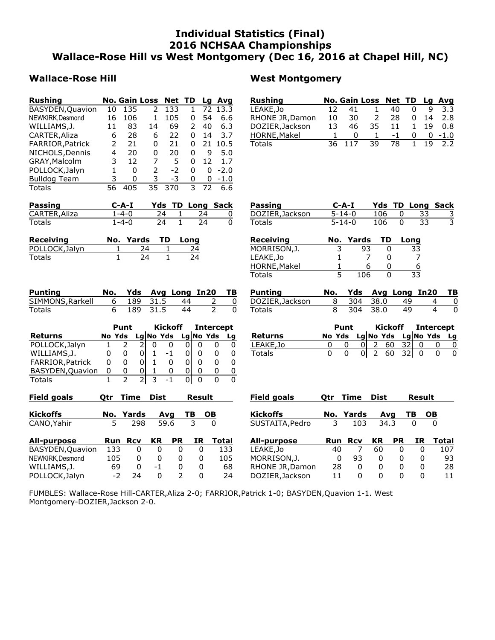### **Individual Statistics (Final) 2016 NCHSAA Championships Wallace-Rose Hill vs West Montgomery (Dec 16, 2016 at Chapel Hill, NC)**

### Wallace-Rose Hill **West Montgomery**

| <b>Rushing</b>      |    |     | <b>No. Gain Loss Net TD</b> |      |   | Lq | Avg    |
|---------------------|----|-----|-----------------------------|------|---|----|--------|
| BASYDEN, Quavion    | 10 | 135 | 2                           | 133  | 1 | 72 | 13.3   |
| NEWKIRK, Desmond    | 16 | 106 | 1                           | 105  | 0 | 54 | 6.6    |
| WILLIAMS, J.        | 11 | 83  | 14                          | 69   | 2 | 40 | 6.3    |
| CARTER, Aliza       | 6  | 28  | 6                           | 22   | 0 | 14 | 3.7    |
| FARRIOR, Patrick    | 2  | 21  | 0                           | 21   | ŋ | 21 | 10.5   |
| NICHOLS, Dennis     | 4  | 20  | 0                           | 20   | 0 | 9  | 5.0    |
| GRAY, Malcolm       | 3  | 12  | 7                           | 5    | 0 | 12 | 1.7    |
| POLLOCK, Jalyn      | 1  | 0   | $\mathcal{P}$               | $-2$ | 0 | 0  | $-2.0$ |
| <b>Bulldog Team</b> | 3  | 0   | 3                           | -3   | 0 | 0  | $-1.0$ |
| Totals              | 56 | 405 | 35                          | 370  | 3 | 72 | 6.6    |

| <b>Passing</b> | C-A-I |     | <b>Yds TD Long Sack</b> |  |
|----------------|-------|-----|-------------------------|--|
| CARTER, Aliza  | 1-4-0 | 24. |                         |  |
| Totals         | 1-4-0 | 24  | 24                      |  |

| Receiving      | No. Yards TD Long |    |
|----------------|-------------------|----|
| POLLOCK, Jalyn | 74                | 24 |
| <b>Totals</b>  | $7\Lambda$        | 74 |

| Passing         | $C$ -A-I     |      | <b>Yds TD Long Sack</b> |  |
|-----------------|--------------|------|-------------------------|--|
| DOZIER, Jackson | $5 - 14 - 0$ | 106. |                         |  |
| Totals          | $5 - 14 - 0$ | 106  | -33-                    |  |

**Rushing No. Gain Loss Net TD Lg Avg** LEAKE, Jo 12 41 1 40 0 9 3.3<br>RHONE JR, Damon 10 30 2 28 0 14 2.8 RHONE JR,Damon 10 30 2 28 0 14 2.8

HORNE, Makel 1 0 1 -1 0 0 -1.0<br>Totals 36 117 39 78 1 19 2.2  $36$  117

DOZIER, Jackson 13 46 35 11

| Receiving    |   | No. Yards | <b>TD</b> | Long |
|--------------|---|-----------|-----------|------|
| MORRISON,J.  | 3 | 93        |           | 33   |
| LEAKE,Jo     |   |           |           |      |
| HORNE, Makel |   | h         |           | 6    |
| Totals       |   | 106       |           | 33   |

| Punting          |  |          |               | No. Yds Avg Long In20 TB |  |
|------------------|--|----------|---------------|--------------------------|--|
| SIMMONS, Rarkell |  |          | 6 189 31.5 44 |                          |  |
| Totals           |  | 189 31.5 | 44            |                          |  |

|                         | Punt |               |  | <b>Kickoff</b> |           |  | <b>Intercept</b> |           |  |
|-------------------------|------|---------------|--|----------------|-----------|--|------------------|-----------|--|
| <b>Returns</b>          |      | <b>No Yds</b> |  |                | Lg No Yds |  |                  | Lg No Yds |  |
| POLLOCK, Jalyn          |      |               |  |                |           |  |                  |           |  |
| WILLIAMS, J.            | O    | O             |  |                |           |  |                  |           |  |
| <b>FARRIOR, Patrick</b> | O    | O             |  |                |           |  |                  |           |  |
| BASYDEN, Quavion        | O    |               |  |                |           |  |                  |           |  |
| Totals                  |      |               |  |                |           |  |                  |           |  |

| Otr | Tıme |                                              |                     |                                           |                                  |
|-----|------|----------------------------------------------|---------------------|-------------------------------------------|----------------------------------|
|     |      |                                              | ΤВ                  | OВ                                        |                                  |
| 5   | 298  |                                              | 3                   | 0                                         |                                  |
|     | Rcv  | KR                                           |                     | Total                                     |                                  |
|     | 0    | 0                                            |                     | 133                                       |                                  |
|     | 0    | 0                                            |                     | 105                                       |                                  |
|     | 0    | -1                                           |                     | 68                                        |                                  |
|     | 24   | 0                                            |                     | 24                                        |                                  |
|     |      | No. Yards<br>Run<br>133<br>105<br>69<br>$-2$ | Dist<br>Avg<br>59.6 | <b>PR</b><br>0<br>0<br>0<br>$\mathcal{P}$ | Result<br>ΙR<br>0<br>0<br>0<br>ი |

| Puntina         |  |          |     | No. Yds Avg Long In20 TB |  |
|-----------------|--|----------|-----|--------------------------|--|
| DOZIER, Jackson |  | 304 38.0 | 49. |                          |  |
| Totals          |  | 304 38.0 | 49  |                          |  |

|                | Punt                          |  |                |           | Kickoff Intercept |  |  |  |
|----------------|-------------------------------|--|----------------|-----------|-------------------|--|--|--|
| <b>Returns</b> | No Yds Lg No Yds Lg No Yds Lg |  |                |           |                   |  |  |  |
| LEAKE, Jo      |                               |  |                | $60$ 32 0 |                   |  |  |  |
| Totals         |                               |  | 0  2 60 32   0 |           |                   |  |  |  |

| <b>Otr</b>              |     | <b>Dist</b>                                            |           |             |       | <b>Field goals</b>  |    |                               |                                         |              |                            |              |  |
|-------------------------|-----|--------------------------------------------------------|-----------|-------------|-------|---------------------|----|-------------------------------|-----------------------------------------|--------------|----------------------------|--------------|--|
|                         |     |                                                        |           | ΤВ          |       | <b>Kickoffs</b>     |    |                               |                                         |              | тв                         | <b>OB</b>    |  |
| 5.                      | 298 |                                                        |           | 3           | 0     | SUSTAITA, Pedro     | 3  | 103                           |                                         |              | 0                          |              |  |
|                         |     | KR                                                     | <b>PR</b> | IR          | Total | All-purpose         |    |                               | KR                                      | <b>PR</b>    | ΙR                         | <b>Total</b> |  |
| BASYDEN, Quavion<br>133 | 0   |                                                        | 0         | 0           | 133   | LEAKE, Jo           |    |                               | 60                                      | 0            |                            | 107          |  |
|                         | 0   | 0                                                      | 0         | 0           | 105   | MORRISON, J.        |    | 93                            | 0                                       | <sup>0</sup> |                            | 93           |  |
|                         | 0   | -1                                                     | 0         | 0           | 68    |                     |    | 0                             | 0                                       |              |                            | 28           |  |
|                         | 24  | $\Omega$                                               |           | 0           | 24    | DOZIER, Jackson     | 11 | 0                             | $\Omega$                                | U            |                            | 11           |  |
|                         |     | Time<br>No. Yards<br><b>Run Rcv</b><br>105<br>69<br>-2 |           | Avg<br>59.6 |       | <b>Result</b><br>OВ |    | <b>Otr</b><br>RHONE JR, Damon | Time<br><b>Run Rcv</b><br>40<br>0<br>28 | No. Yards    | <b>Dist</b><br>Ava<br>34.3 | Result<br>0  |  |

FUMBLES: Wallace-Rose Hill-CARTER,Aliza 2-0; FARRIOR,Patrick 1-0; BASYDEN,Quavion 1-1. West Montgomery-DOZIER,Jackson 2-0.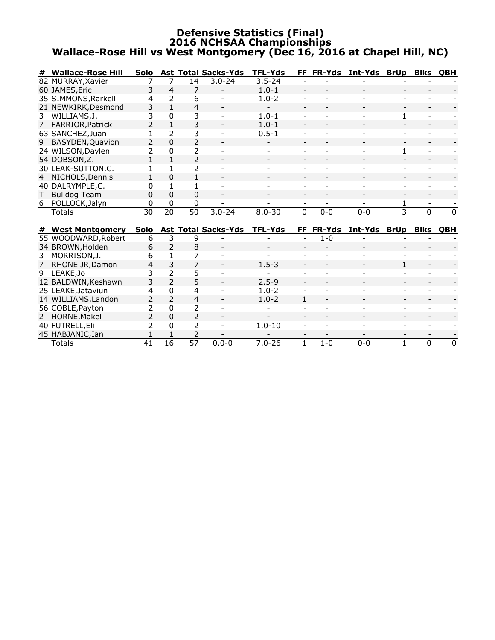### **Defensive Statistics (Final) 2016 NCHSAA Championships Wallace-Rose Hill vs West Montgomery (Dec 16, 2016 at Chapel Hill, NC)**

|                 | <b>Wallace-Rose Hill</b>                      |                          |                               |                          | Solo Ast Total Sacks-Yds   | <b>TFL-Yds</b> |              |         | FF FR-Yds Int-Yds BrUp |              | <b>Blks</b> | ОВН        |
|-----------------|-----------------------------------------------|--------------------------|-------------------------------|--------------------------|----------------------------|----------------|--------------|---------|------------------------|--------------|-------------|------------|
|                 | 82 MURRAY, Xavier                             |                          | 7                             | 14                       | $3.0 - 24$                 | $3.5 - 24$     |              |         |                        |              |             |            |
|                 | 60 JAMES, Eric                                | 3                        | 4                             | 7                        |                            | $1.0 - 1$      |              |         |                        |              |             |            |
|                 | 35 SIMMONS, Rarkell                           | 4                        | $\overline{\phantom{a}}$      | 6                        |                            | $1.0 - 2$      |              |         |                        |              |             |            |
|                 | 21 NEWKIRK, Desmond                           | 3                        | $\mathbf{1}$                  | 4                        |                            |                |              |         |                        |              |             |            |
| 3               | WILLIAMS, J.                                  | 3                        | $\Omega$                      | 3                        | $\overline{\phantom{a}}$   | $1.0 - 1$      |              |         |                        | 1            |             |            |
| 7 <sup>7</sup>  | FARRIOR, Patrick                              | $\overline{2}$           | $\mathbf{1}$                  | 3                        |                            | $1.0 - 1$      |              |         |                        |              |             |            |
|                 | 63 SANCHEZ, Juan                              |                          | $\mathcal{P}$                 | 3                        |                            | $0.5 - 1$      |              |         |                        |              |             |            |
| 9               | BASYDEN, Quavion                              | $\overline{\phantom{a}}$ | $\Omega$                      | $\overline{2}$           |                            |                |              |         |                        |              |             |            |
|                 | 24 WILSON, Daylen                             | 2                        | 0                             | 2                        |                            |                |              |         |                        | 1            |             |            |
|                 | 54 DOBSON, Z.                                 |                          | 1                             | $\overline{2}$           |                            |                |              |         |                        |              |             |            |
|                 | 30 LEAK-SUTTON,C.                             | 1                        | 1                             | $\overline{\phantom{a}}$ |                            |                |              |         |                        |              |             |            |
| $4\overline{ }$ | NICHOLS, Dennis                               | 1                        | 0                             | 1                        |                            |                |              |         |                        |              |             |            |
|                 | 40 DALRYMPLE,C.                               | 0                        | 1                             |                          |                            |                |              |         |                        |              |             |            |
| Τ               | <b>Bulldog Team</b>                           | 0                        | $\Omega$                      | 0                        |                            |                |              |         |                        |              |             |            |
| 6               | POLLOCK, Jalyn                                | 0                        | 0                             | 0                        |                            |                |              |         |                        |              |             |            |
|                 | Totals                                        | 30                       | $\overline{20}$               | $\overline{50}$          | $3.0 - 24$                 | $8.0 - 30$     | $\Omega$     | $0 - 0$ | $0 - 0$                | $\mathbf{3}$ | $\Omega$    | $\Omega$   |
|                 |                                               | Solo                     |                               |                          | <b>Ast Total Sacks-Yds</b> | <b>TFL-Yds</b> | FF.          |         |                        |              | <b>Blks</b> | <b>OBH</b> |
| #               | <b>West Montgomery</b><br>55 WOODWARD, Robert | 6                        | 3                             | 9                        |                            |                |              | $1 - 0$ | FR-Yds Int-Yds BrUp    |              |             |            |
|                 | 34 BROWN, Holden                              | 6                        | $\overline{2}$                | 8                        |                            |                |              |         |                        |              |             |            |
|                 |                                               | 6                        |                               | 7                        |                            |                |              |         |                        |              |             |            |
| 3               | MORRISON, J.                                  | 4                        | 3                             | $\overline{7}$           |                            |                |              |         |                        |              |             |            |
| 9               | 7 RHONE JR, Damon                             | 3                        | $\overline{2}$                | 5                        |                            | $1.5 - 3$      |              |         |                        |              |             |            |
|                 | LEAKE, Jo                                     | 3                        | $\overline{2}$                | 5                        |                            | $2.5 - 9$      |              |         |                        |              |             |            |
|                 | 12 BALDWIN, Keshawn                           |                          |                               |                          |                            | $1.0 - 2$      |              |         |                        |              |             |            |
|                 | 25 LEAKE, Jataviun                            | 4                        | 0<br>$\overline{\phantom{a}}$ | 4                        |                            |                |              |         |                        |              |             |            |
|                 | 14 WILLIAMS, Landon                           | 2                        |                               | $\overline{4}$           |                            | $1.0 - 2$      | 1            |         |                        |              |             |            |
|                 | 56 COBLE, Payton                              | 2                        | $\Omega$                      | 2                        |                            |                |              |         |                        |              |             |            |
|                 | 2 HORNE, Makel                                | $\overline{\phantom{a}}$ | $\Omega$                      | $\overline{\phantom{a}}$ |                            |                |              |         |                        |              |             |            |
|                 | 40 FUTRELL, Eli                               | 2                        | 0                             | 2                        |                            | $1.0 - 10$     |              |         |                        |              |             |            |
|                 | 45 HABJANIC, Ian                              |                          |                               | 2<br>$\overline{57}$     |                            |                |              |         |                        |              |             |            |
|                 | <b>Totals</b>                                 | $\overline{41}$          | $\overline{16}$               |                          | $0.0 - 0$                  | $7.0 - 26$     | $\mathbf{1}$ | $1 - 0$ | $0 - 0$                | 1            | 0           | 0          |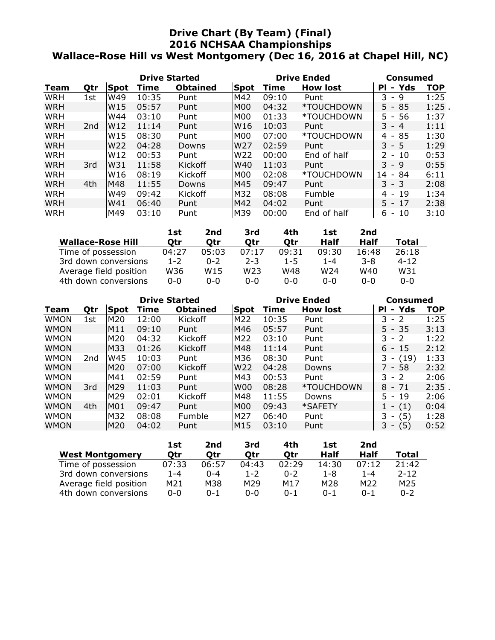### **Drive Chart (By Team) (Final) 2016 NCHSAA Championships Wallace-Rose Hill vs West Montgomery (Dec 16, 2016 at Chapel Hill, NC)**

|            |                 |                 | <b>Drive Started</b> |                 |                 | <b>Drive Ended</b> | Consumed        |                                      |            |
|------------|-----------------|-----------------|----------------------|-----------------|-----------------|--------------------|-----------------|--------------------------------------|------------|
| Team       | Qtr             | Spot            | Time                 | <b>Obtained</b> | <b>Spot</b>     | Time               | <b>How lost</b> | - Yds<br>ΡI                          | <b>TOP</b> |
| <b>WRH</b> | 1st             | W49             | 10:35                | Punt            | M42             | 09:10              | Punt            | 3<br>9<br>$\overline{\phantom{a}}$   | 1:25       |
| <b>WRH</b> |                 | W <sub>15</sub> | 05:57                | Punt            | IMOO            | 04:32              | *TOUCHDOWN      | $5 -$<br>85                          | 1:25       |
| <b>WRH</b> |                 | W44             | 03:10                | Punt            | M <sub>00</sub> | 01:33              | *TOUCHDOWN      | -56<br>$5 -$                         | 1:37       |
| <b>WRH</b> | 2 <sub>nd</sub> | W <sub>12</sub> | 11:14                | Punt            | W16             | 10:03              | Punt            | $3 - 4$                              | 1:11       |
| <b>WRH</b> |                 | W <sub>15</sub> | 08:30                | Punt            | IMOO            | 07:00              | *TOUCHDOWN      | 85<br>4<br>$\overline{\phantom{a}}$  | 1:30       |
| <b>WRH</b> |                 | W <sub>22</sub> | 04:28                | Downs           | W27             | 02:59              | Punt            | $3 - 5$                              | 1:29       |
| <b>WRH</b> |                 | W <sub>12</sub> | 00:53                | Punt            | W <sub>22</sub> | 00:00              | End of half     | $2 -$<br>10                          | 0:53       |
| <b>WRH</b> | 3rd             | W31             | 11:58                | Kickoff         | lW40            | 11:03              | Punt            | $3 - 9$                              | 0:55       |
| WRH        |                 | W16             | 08:19                | Kickoff         | IMOO            | 02:08              | *TOUCHDOWN      | 84<br>14<br>$\overline{\phantom{a}}$ | 6:11       |
| <b>WRH</b> | 4th             | M48             | 11:55                | Downs           | IM45            | 09:47              | Punt            | $3 - 3$                              | 2:08       |
| WRH        |                 | W49             | 09:42                | Kickoff         | IM32            | 08:08              | <b>Fumble</b>   | 19<br>4 -                            | 1:34       |
| <b>WRH</b> |                 | W41             | 06:40                | Punt            | M42             | 04:02              | Punt            | $5 - 17$                             | 2:38       |
| WRH        |                 | M49             | 03:10                | Punt            | M39             | 00:00              | End of half     | 10<br>6.<br>$\overline{\phantom{a}}$ | 3:10       |

|                          | 1st     | 2nd     | 3rd     | 4th     | 1st             | 2nd     |          |
|--------------------------|---------|---------|---------|---------|-----------------|---------|----------|
| <b>Wallace-Rose Hill</b> | Otr     | Otr     | Otr     | Otr     | Half            | Half    | Total    |
| Time of possession       | 04:27   | 05:03   | 07:17   | 09:31   | 09:30           | 16:48   | 26:18    |
| 3rd down conversions     | $1 - 2$ | $0 - 2$ | $2 - 3$ | $1 - 5$ | $1 - 4$         | $3 - 8$ | $4 - 12$ |
| Average field position   | W36     | W15     | W23     | W48     | W <sub>24</sub> | W40     | W31      |
| 4th down conversions     | $0 - 0$ | 0-0     | 0-0     | $0 - 0$ | $0 - 0$         | $0 - 0$ | $0 - 0$  |

|             |     |                 | <b>Drive Started</b> |                 |                 | <b>Drive Ended</b> | Consumed        |                                       |            |
|-------------|-----|-----------------|----------------------|-----------------|-----------------|--------------------|-----------------|---------------------------------------|------------|
| Team        | Qtr | Spot            | Time                 | <b>Obtained</b> | <b>Spot</b>     | Time               | <b>How lost</b> | - Yds<br>PI                           | <b>TOP</b> |
| <b>WMON</b> | 1st | M <sub>20</sub> | 12:00                | Kickoff         | M22             | 10:35              | Punt            | 3.<br>-2<br>$\overline{\phantom{a}}$  | 1:25       |
| <b>WMON</b> |     | M11             | 09:10                | Punt            | M46             | 05:57              | Punt            | $5 - 35$                              | 3:13       |
| <b>WMON</b> |     | M <sub>20</sub> | 04:32                | Kickoff         | M22             | 03:10              | Punt            | $-2$<br>3.                            | 1:22       |
| <b>WMON</b> |     | M33             | 01:26                | Kickoff         | IM48            | 11:14              | Punt            | -15<br>6<br>$\overline{\phantom{a}}$  | 2:12       |
| <b>WMON</b> | 2nd | W45             | 10:03                | Punt            | M36             | 08:30              | Punt            | 3<br>(19)<br>$\overline{\phantom{a}}$ | 1:33       |
| <b>WMON</b> |     | M20             | 07:00                | Kickoff         | W <sub>22</sub> | 04:28              | Downs           | 7 - 58                                | 2:32       |
| <b>WMON</b> |     | M41             | 02:59                | Punt            | M43             | 00:53              | Punt            | 3.<br>$-2$                            | 2:06       |
| <b>WMON</b> | 3rd | M29             | 11:03                | Punt            | W <sub>00</sub> | 08:28              | *TOUCHDOWN      | $8 - 71$                              | 2:35       |
| <b>WMON</b> |     | M <sub>29</sub> | 02:01                | Kickoff         | M48             | 11:55              | Downs           | $5 - 19$                              | 2:06       |
| <b>WMON</b> | 4th | M01             | 09:47                | Punt            | M <sub>00</sub> | 09:43              | *SAFETY         | (1)                                   | 0:04       |
| <b>WMON</b> |     | M32             | 08:08                | Fumble          | <b>M27</b>      | 06:40              | Punt            | 3<br>(5)                              | 1:28       |
| <b>WMON</b> |     | M20             | 04:02                | Punt            | M <sub>15</sub> | 03:10              | Punt            | (5)<br>3<br>$\overline{\phantom{a}}$  | 0:52       |

|                        | 1st     | 2nd     | 3rd     | 4th     | 1st     | 2nd     |              |
|------------------------|---------|---------|---------|---------|---------|---------|--------------|
| <b>West Montgomery</b> | Otr     | Otr     | Otr     | Otr     | Half    | Half    | <b>Total</b> |
| Time of possession     | 07:33   | 06:57   | 04:43   | 02:29   | 14:30   | 07:12   | 21:42        |
| 3rd down conversions   | $1 - 4$ | $0 - 4$ | $1 - 2$ | $0 - 2$ | $1 - 8$ | 1-4     | $2 - 12$     |
| Average field position | M21     | M38     | M29     | M17     | M28     | M22     | M25          |
| 4th down conversions   | $0 - 0$ | $0 - 1$ | ი-ი     | $0 - 1$ | $0 - 1$ | $0 - 1$ | $0 - 2$      |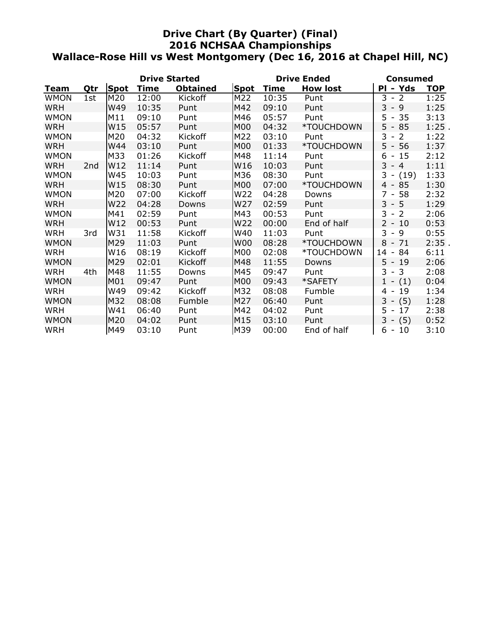### **Drive Chart (By Quarter) (Final) 2016 NCHSAA Championships Wallace-Rose Hill vs West Montgomery (Dec 16, 2016 at Chapel Hill, NC)**

|             |                 |      | <b>Drive Started</b> |                 |             |             | <b>Drive Ended</b> | Consumed                             |            |  |
|-------------|-----------------|------|----------------------|-----------------|-------------|-------------|--------------------|--------------------------------------|------------|--|
| <b>Team</b> | Qtr             | Spot | Time                 | <b>Obtained</b> | <b>Spot</b> | <b>Time</b> | <b>How lost</b>    | - Yds<br>PI                          | <b>TOP</b> |  |
| <b>WMON</b> | 1st             | M20  | 12:00                | Kickoff         | M22         | 10:35       | Punt               | 3<br>$-2$                            | 1:25       |  |
| <b>WRH</b>  |                 | W49  | 10:35                | Punt            | M42         | 09:10       | Punt               | $-9$<br>3                            | 1:25       |  |
| <b>WMON</b> |                 | M11  | 09:10                | Punt            | M46         | 05:57       | Punt               | 35<br>$5 -$                          | 3:13       |  |
| <b>WRH</b>  |                 | W15  | 05:57                | Punt            | M00         | 04:32       | *TOUCHDOWN         | $5 - 85$                             | $1:25$ .   |  |
| <b>WMON</b> |                 | M20  | 04:32                | Kickoff         | M22         | 03:10       | Punt               | 3<br>2<br>$\overline{\phantom{a}}$   | 1:22       |  |
| <b>WRH</b>  |                 | W44  | 03:10                | Punt            | M00         | 01:33       | *TOUCHDOWN         | $5 - 56$                             | 1:37       |  |
| <b>WMON</b> |                 | M33  | 01:26                | Kickoff         | M48         | 11:14       | Punt               | $6 - 15$                             | 2:12       |  |
| <b>WRH</b>  | 2 <sub>nd</sub> | W12  | 11:14                | Punt            | W16         | 10:03       | Punt               | $3 - 4$                              | 1:11       |  |
| <b>WMON</b> |                 | W45  | 10:03                | Punt            | M36         | 08:30       | Punt               | $3 - (19)$                           | 1:33       |  |
| <b>WRH</b>  |                 | W15  | 08:30                | Punt            | M00         | 07:00       | *TOUCHDOWN         | 85<br>$4 -$                          | 1:30       |  |
| <b>WMON</b> |                 | M20  | 07:00                | Kickoff         | W22         | 04:28       | Downs              | 7 - 58                               | 2:32       |  |
| <b>WRH</b>  |                 | W22  | 04:28                | Downs           | W27         | 02:59       | Punt               | $3 - 5$                              | 1:29       |  |
| <b>WMON</b> |                 | M41  | 02:59                | Punt            | M43         | 00:53       | Punt               | $-2$<br>3                            | 2:06       |  |
| <b>WRH</b>  |                 | W12  | 00:53                | Punt            | W22         | 00:00       | End of half        | $2 - 10$                             | 0:53       |  |
| WRH         | 3rd             | W31  | 11:58                | Kickoff         | W40         | 11:03       | Punt               | $3 -$<br>9                           | 0:55       |  |
| <b>WMON</b> |                 | M29  | 11:03                | Punt            | <b>W00</b>  | 08:28       | *TOUCHDOWN         | 8<br>71<br>$\overline{\phantom{a}}$  | 2:35.      |  |
| <b>WRH</b>  |                 | W16  | 08:19                | Kickoff         | M00         | 02:08       | *TOUCHDOWN         | 14<br>84<br>$\overline{\phantom{a}}$ | 6:11       |  |
| <b>WMON</b> |                 | M29  | 02:01                | Kickoff         | M48         | 11:55       | Downs              | $5 - 19$                             | 2:06       |  |
| <b>WRH</b>  | 4th             | M48  | 11:55                | Downs           | M45         | 09:47       | Punt               | $3 - 3$                              | 2:08       |  |
| <b>WMON</b> |                 | M01  | 09:47                | Punt            | M00         | 09:43       | *SAFETY            | $1 - (1)$                            | 0:04       |  |
| <b>WRH</b>  |                 | W49  | 09:42                | <b>Kickoff</b>  | M32         | 08:08       | Fumble             | 19<br>4 -                            | 1:34       |  |
| <b>WMON</b> |                 | M32  | 08:08                | Fumble          | M27         | 06:40       | Punt               | $3 - (5)$                            | 1:28       |  |
| WRH         |                 | W41  | 06:40                | Punt            | M42         | 04:02       | Punt               | 5 -<br>17                            | 2:38       |  |
| <b>WMON</b> |                 | M20  | 04:02                | Punt            | M15         | 03:10       | Punt               | $3 - (5)$                            | 0:52       |  |
| <b>WRH</b>  |                 | M49  | 03:10                | Punt            | M39         | 00:00       | End of half        | 6 -<br>10                            | 3:10       |  |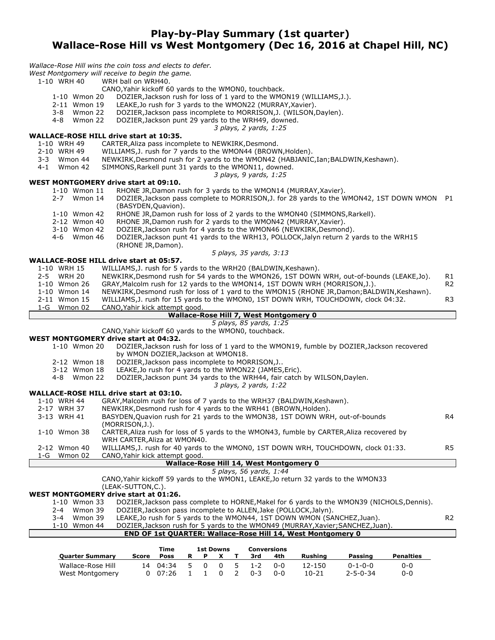### **Play-by-Play Summary (1st quarter) Wallace-Rose Hill vs West Montgomery (Dec 16, 2016 at Chapel Hill, NC)**

*Wallace-Rose Hill wins the coin toss and elects to defer.*

*West Montgomery will receive to begin the game.*

```
WRH ball on WRH40.
```
- CANO, Yahir kickoff 60 yards to the WMON0, touchback.<br>1-10 Wmon 20 DOZIER, Jackson rush for loss of 1 yard to the WMC
- DOZIER,Jackson rush for loss of 1 yard to the WMON19 (WILLIAMS,J.).
- 2-11 Wmon 19 LEAKE,Jo rush for 3 yards to the WMON22 (MURRAY,Xavier).
- 3-8 Wmon 22 DOZIER,Jackson pass incomplete to MORRISON,J. (WILSON,Daylen).
- 4-8 Wmon 22 DOZIER,Jackson punt 29 yards to the WRH49, downed.
	- *3 plays, 2 yards, 1:25*

# **WALLACE-ROSE HILL drive start at 10:35.**

- CARTER, Aliza pass incomplete to NEWKIRK, Desmond.
- 2-10 WRH 49 WILLIAMS,J. rush for 7 yards to the WMON44 (BROWN,Holden).
- 3-3 Wmon 44 NEWKIRK,Desmond rush for 2 yards to the WMON42 (HABJANIC,Ian;BALDWIN,Keshawn).
	- SIMMONS, Rarkell punt 31 yards to the WMON11, downed.
		- *3 plays, 9 yards, 1:25*

# **WEST MONTGOMERY drive start at 09:10.**<br>1-10 Wmon 11 RHONE JR. Damon ru

- RHONE JR,Damon rush for 3 yards to the WMON14 (MURRAY,Xavier).
- 2-7 Wmon 14 DOZIER,Jackson pass complete to MORRISON,J. for 28 yards to the WMON42, 1ST DOWN WMON P1 (BASYDEN,Quavion).
- 1-10 Wmon 42 RHONE JR,Damon rush for loss of 2 yards to the WMON40 (SIMMONS,Rarkell).
- 2-12 Wmon 40 RHONE JR,Damon rush for 2 yards to the WMON42 (MURRAY,Xavier).
- 3-10 Wmon 42 DOZIER,Jackson rush for 4 yards to the WMON46 (NEWKIRK,Desmond).
- 4-6 Wmon 46 DOZIER,Jackson punt 41 yards to the WRH13, POLLOCK,Jalyn return 2 yards to the WRH15 (RHONE JR,Damon).

*5 plays, 35 yards, 3:13*

#### **WALLACE-ROSE HILL drive start at 05:57.**

- 1-10 WRH 15 WILLIAMS, J. rush for 5 yards to the WRH20 (BALDWIN, Keshawn).<br>2-5 WRH 20 NEWKIRK, Desmond rush for 54 yards to the WMON26, 1ST DOWN 2-5 WRH 20 NEWKIRK,Desmond rush for 54 yards to the WMON26, 1ST DOWN WRH, out-of-bounds (LEAKE,Jo). R1<br>1-10 Wmon 26 GRAY,Malcolm rush for 12 yards to the WMON14, 1ST DOWN WRH (MORRISON,J.). GRAY, Malcolm rush for 12 yards to the WMON14, 1ST DOWN WRH (MORRISON, J.). 1-10 Wmon 14 NEWKIRK,Desmond rush for loss of 1 yard to the WMON15 (RHONE JR,Damon;BALDWIN,Keshawn). 2-11 Wmon 15 WILLIAMS,J. rush for 15 yards to the WMON0, 1ST DOWN WRH, TOUCHDOWN, clock 04:32. R3 1-G Wmon 02 CANO,Yahir kick attempt good.
	- **Wallace-Rose Hill 7, West Montgomery 0**

*5 plays, 85 yards, 1:25*

CANO,Yahir kickoff 60 yards to the WMON0, touchback.

**WEST MONTGOMERY drive start at 04:32.** DOZIER,Jackson rush for loss of 1 yard to the WMON19, fumble by DOZIER,Jackson recovered by WMON DOZIER,Jackson at WMON18.

- 
- 2-12 Wmon 18 DOZIER, Jackson pass incomplete to MORRISON, J.<br>3-12 Wmon 18 LEAKE, Jo rush for 4 vards to the WMON22 (JAMES LEAKE,Jo rush for 4 yards to the WMON22 (JAMES,Eric).
- 4-8 Wmon 22 DOZIER,Jackson punt 34 yards to the WRH44, fair catch by WILSON,Daylen.
	- *3 plays, 2 yards, 1:22*

#### **WALLACE-ROSE HILL drive start at 03:10.**

- 1-10 WRH 44 GRAY,Malcolm rush for loss of 7 yards to the WRH37 (BALDWIN,Keshawn).
- 2-17 WRH 37 NEWKIRK,Desmond rush for 4 yards to the WRH41 (BROWN,Holden).
- 3-13 WRH 41 BASYDEN,Quavion rush for 21 yards to the WMON38, 1ST DOWN WRH, out-of-bounds R4 (MORRISON,J.). 1-10 Wmon 38 CARTER,Aliza rush for loss of 5 yards to the WMON43, fumble by CARTER,Aliza recovered by WRH CARTER,Aliza at WMON40. 2-12 Wmon 40 WILLIAMS,J. rush for 40 yards to the WMON0, 1ST DOWN WRH, TOUCHDOWN, clock 01:33. R5 1-G Wmon 02 CANO,Yahir kick attempt good. **Wallace-Rose Hill 14, West Montgomery 0**

## *5 plays, 56 yards, 1:44*

CANO,Yahir kickoff 59 yards to the WMON1, LEAKE,Jo return 32 yards to the WMON33

### (LEAK-SUTTON,C.).

| WEST MONTGOMERY drive start at 01:26. |                                                                                            |                |
|---------------------------------------|--------------------------------------------------------------------------------------------|----------------|
| 1-10 Wmon 33                          | DOZIER, Jackson pass complete to HORNE, Makel for 6 yards to the WMON39 (NICHOLS, Dennis). |                |
| 2-4 Wmon 39                           | DOZIER, Jackson pass incomplete to ALLEN, Jake (POLLOCK, Jalyn).                           |                |
| Wmon 39<br>3-4                        | LEAKE, Jo rush for 5 yards to the WMON44, 1ST DOWN WMON (SANCHEZ, Juan).                   | R <sub>2</sub> |
| 1-10 Wmon 44                          | DOZIER, Jackson rush for 5 yards to the WMON49 (MURRAY, Xavier; SANCHEZ, Juan).            |                |
|                                       | <b>END OF 1st QUARTER: Wallace-Rose Hill 14, West Montgomery 0</b>                         |                |

|                        |       | Time     | 1st Downs    |          |              |         | Conversions |                |                  |                  |
|------------------------|-------|----------|--------------|----------|--------------|---------|-------------|----------------|------------------|------------------|
| <b>Quarter Summary</b> | Score | Poss     |              |          |              | 3rd     | 4th         | <b>Rushing</b> | Passing          | <b>Penalties</b> |
| Wallace-Rose Hill      |       | 14 04:34 | . റ          | $\Omega$ | - 5          | $1 - 2$ | ი-ი         | 12-150         | $0 - 1 - 0 - 0$  | 0-0              |
| West Montgomery        |       | 07:26    | $\mathbf{I}$ | $\Omega$ | <sup>2</sup> | በ-3     | ი-ი         | 10-21          | $2 - 5 - 0 - 34$ | 0-0              |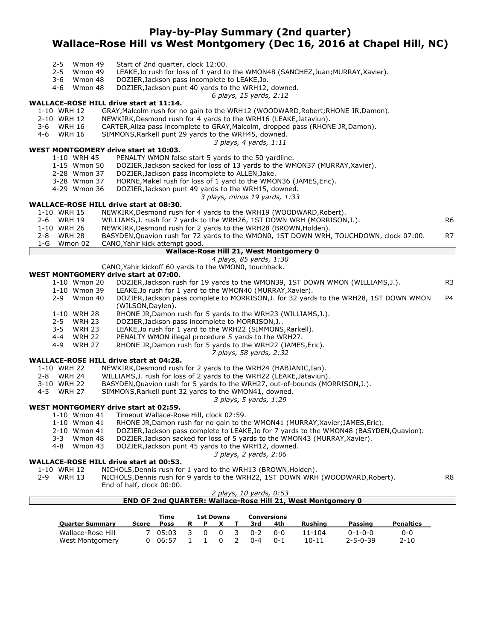### **Play-by-Play Summary (2nd quarter) Wallace-Rose Hill vs West Montgomery (Dec 16, 2016 at Chapel Hill, NC)**

- 2-5 Wmon 49 Start of 2nd quarter, clock 12:00.
- 2-5 Wmon 49 LEAKE, Jo rush for loss of 1 yard to the WMON48 (SANCHEZ, Juan; MURRAY, Xavier).<br>3-6 Wmon 48 DOZIER, Jackson pass incomplete to LEAKE. Jo.
- 3-6 Wmon 48 DOZIER,Jackson pass incomplete to LEAKE,Jo.
	- DOZIER, Jackson punt 40 yards to the WRH12, downed.
		- *6 plays, 15 yards, 2:12*

#### **WALLACE-ROSE HILL drive start at 11:14.**

- 1-10 WRH 12 GRAY,Malcolm rush for no gain to the WRH12 (WOODWARD,Robert;RHONE JR,Damon).
- 2-10 WRH 12 NEWKIRK,Desmond rush for 4 yards to the WRH16 (LEAKE,Jataviun).
- 3-6 WRH 16 CARTER,Aliza pass incomplete to GRAY,Malcolm, dropped pass (RHONE JR,Damon).
- 4-6 WRH 16 SIMMONS,Rarkell punt 29 yards to the WRH45, downed.
	- *3 plays, 4 yards, 1:11*

#### **WEST MONTGOMERY drive start at 10:03.**

- 1-10 WRH 45 PENALTY WMON false start 5 yards to the 50 yardline.<br>1-15 Wmon 50 DOZIER, Jackson sacked for loss of 13 yards to the WM
	- DOZIER, Jackson sacked for loss of 13 yards to the WMON37 (MURRAY, Xavier).
- 2-28 Wmon 37 DOZIER,Jackson pass incomplete to ALLEN,Jake.
- 3-28 Wmon 37 HORNE,Makel rush for loss of 1 yard to the WMON36 (JAMES,Eric).
- 4-29 Wmon 36 DOZIER,Jackson punt 49 yards to the WRH15, downed.
	- *3 plays, minus 19 yards, 1:33*

#### **WALLACE-ROSE HILL drive start at 08:30.**

- 1-10 WRH 15 NEWKIRK,Desmond rush for 4 yards to the WRH19 (WOODWARD,Robert).
- 2-6 WRH 19 WILLIAMS, J. rush for 7 yards to the WRH26, 1ST DOWN WRH (MORRISON, J.).
- 1-10 WRH 26 NEWKIRK,Desmond rush for 2 yards to the WRH28 (BROWN,Holden).
- 2-8 WRH 28 BASYDEN,Quavion rush for 72 yards to the WMON0, 1ST DOWN WRH, TOUCHDOWN, clock 07:00. R7<br>1-G Wmon 02 CANO.Yahir kick attempt good. 1-G Wmon 02 CANO,Yahir kick attempt good.

#### **Wallace-Rose Hill 21, West Montgomery 0**

*4 plays, 85 yards, 1:30* CANO,Yahir kickoff 60 yards to the WMON0, touchback.

- **WEST MONTGOMERY drive start at 07:00.** DOZIER, Jackson rush for 19 yards to the WMON39, 1ST DOWN WMON (WILLIAMS, J.). R3
	- 1-10 Wmon 39 LEAKE,Jo rush for 1 yard to the WMON40 (MURRAY,Xavier). 2-9 Wmon 40 DOZIER,Jackson pass complete to MORRISON,J. for 32 yards to the WRH28, 1ST DOWN WMON P4 (WILSON,Daylen). 1-10 WRH 28 RHONE JR,Damon rush for 5 yards to the WRH23 (WILLIAMS,J.).
	- 2-5 WRH 23 DOZIER,Jackson pass incomplete to MORRISON,J..
	- 3-5 WRH 23 LEAKE,Jo rush for 1 yard to the WRH22 (SIMMONS,Rarkell).
	- 4-4 WRH 22 PENALTY WMON illegal procedure 5 yards to the WRH27.
	- 4-9 WRH 27 RHONE JR,Damon rush for 5 yards to the WRH22 (JAMES,Eric).
		- *7 plays, 58 yards, 2:32*

#### **WALLACE-ROSE HILL drive start at 04:28.**

- 1-10 WRH 22 NEWKIRK,Desmond rush for 2 yards to the WRH24 (HABJANIC,Ian).
- 
- 2-8 WRH 24 WILLIAMS,J. rush for loss of 2 yards to the WRH22 (LEAKE,Jataviun). 3-10 WRH 22 BASYDEN, Quavion rush for 5 yards to the WRH27, out-of-bounds (MORRISON, J.).<br>4-5 WRH 27 SIMMONS, Rarkell punt 32 yards to the WMON41, downed.
- SIMMONS, Rarkell punt 32 yards to the WMON41, downed.

*3 plays, 5 yards, 1:29*

#### **WEST MONTGOMERY drive start at 02:59.**

- 1-10 Wmon 41 Timeout Wallace-Rose Hill, clock 02:59.
	- RHONE JR,Damon rush for no gain to the WMON41 (MURRAY,Xavier;JAMES,Eric).
	- 2-10 Wmon 41 DOZIER,Jackson pass complete to LEAKE,Jo for 7 yards to the WMON48 (BASYDEN,Quavion).
	- 3-3 Wmon 48 DOZIER,Jackson sacked for loss of 5 yards to the WMON43 (MURRAY,Xavier).
	- 4-8 Wmon 43 DOZIER,Jackson punt 45 yards to the WRH12, downed.
		- *3 plays, 2 yards, 2:06*

#### **WALLACE-ROSE HILL drive start at 00:53.**

- 1-10 WRH 12 NICHOLS,Dennis rush for 1 yard to the WRH13 (BROWN,Holden).
- 2-9 WRH 13 NICHOLS, Dennis rush for 9 yards to the WRH22, 1ST DOWN WRH (WOODWARD, Robert). R8 End of half, clock 00:00.

#### *2 plays, 10 yards, 0:53* **END OF 2nd QUARTER: Wallace-Rose Hill 21, West Montgomery 0**

|                        |       | Time  | 1st Downs    |          |     |         | Conversions |           |                  |                  |
|------------------------|-------|-------|--------------|----------|-----|---------|-------------|-----------|------------------|------------------|
| <b>Ouarter Summary</b> | Score | Poss  |              |          |     | 3rd     | 4th         | Rushina   | Passing          | <b>Penalties</b> |
| Wallace-Rose Hill      |       | 05:03 | <sup>n</sup> | $\Omega$ | - 3 | $0 - 2$ | 0-0         | 11-104    | $0 - 1 - 0 - 0$  | 0-0              |
| West Montgomery        |       | 06:57 |              |          |     | $0 - 4$ | $0 - 1$     | $10 - 11$ | $2 - 5 - 0 - 39$ | $2 - 10$         |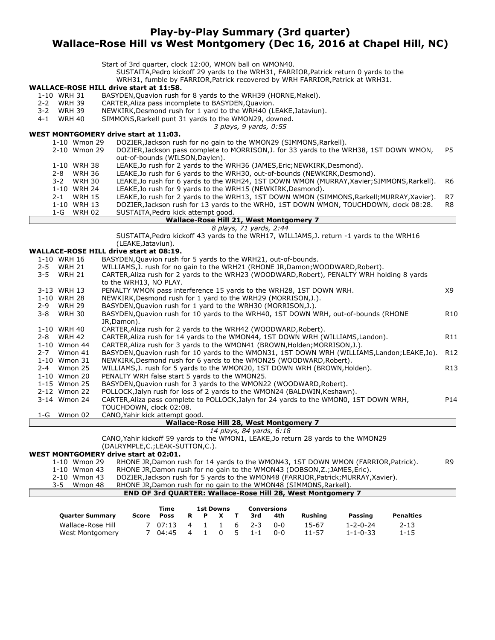### **Play-by-Play Summary (3rd quarter) Wallace-Rose Hill vs West Montgomery (Dec 16, 2016 at Chapel Hill, NC)**

|                          | Start of 3rd quarter, clock 12:00, WMON ball on WMON40.<br>SUSTAITA, Pedro kickoff 29 yards to the WRH31, FARRIOR, Patrick return 0 yards to the |                 |
|--------------------------|--------------------------------------------------------------------------------------------------------------------------------------------------|-----------------|
|                          | WRH31, fumble by FARRIOR, Patrick recovered by WRH FARRIOR, Patrick at WRH31.                                                                    |                 |
|                          | <b>WALLACE-ROSE HILL drive start at 11:58.</b>                                                                                                   |                 |
| 1-10 WRH 31              | BASYDEN, Quavion rush for 8 yards to the WRH39 (HORNE, Makel).                                                                                   |                 |
| 2-2 WRH 39               | CARTER, Aliza pass incomplete to BASYDEN, Quavion.                                                                                               |                 |
| 3-2 WRH 39               | NEWKIRK, Desmond rush for 1 yard to the WRH40 (LEAKE, Jataviun).                                                                                 |                 |
| <b>WRH 40</b><br>4-1     | SIMMONS, Rarkell punt 31 yards to the WMON29, downed.                                                                                            |                 |
|                          | 3 plays, 9 yards, 0:55                                                                                                                           |                 |
|                          | WEST MONTGOMERY drive start at 11:03.                                                                                                            |                 |
| 1-10 Wmon 29             | DOZIER, Jackson rush for no gain to the WMON29 (SIMMONS, Rarkell).                                                                               |                 |
| 2-10 Wmon 29             | DOZIER, Jackson pass complete to MORRISON, J. for 33 yards to the WRH38, 1ST DOWN WMON,                                                          | P5              |
|                          | out-of-bounds (WILSON, Daylen).                                                                                                                  |                 |
| 1-10 WRH 38              | LEAKE, Jo rush for 2 yards to the WRH36 (JAMES, Eric; NEWKIRK, Desmond).                                                                         |                 |
| 2-8 WRH 36               | LEAKE, Jo rush for 6 yards to the WRH30, out-of-bounds (NEWKIRK, Desmond).                                                                       |                 |
| <b>WRH 30</b><br>$3 - 2$ | LEAKE, Jo rush for 6 yards to the WRH24, 1ST DOWN WMON (MURRAY, Xavier; SIMMONS, Rarkell).                                                       | R6              |
| 1-10 WRH 24              | LEAKE, Jo rush for 9 yards to the WRH15 (NEWKIRK, Desmond).                                                                                      |                 |
| 2-1 WRH 15               | LEAKE, Jo rush for 2 yards to the WRH13, 1ST DOWN WMON (SIMMONS, Rarkell; MURRAY, Xavier).                                                       | R7              |
| 1-10 WRH 13              | DOZIER, Jackson rush for 13 yards to the WRH0, 1ST DOWN WMON, TOUCHDOWN, clock 08:28.                                                            | R8              |
| 1-G WRH 02               | SUSTAITA, Pedro kick attempt good.                                                                                                               |                 |
|                          | Wallace-Rose Hill 21, West Montgomery 7                                                                                                          |                 |
|                          | 8 plays, 71 yards, 2:44                                                                                                                          |                 |
|                          | SUSTAITA, Pedro kickoff 43 yards to the WRH17, WILLIAMS, J. return -1 yards to the WRH16                                                         |                 |
|                          | (LEAKE, Jataviun).                                                                                                                               |                 |
|                          | <b>WALLACE-ROSE HILL drive start at 08:19.</b>                                                                                                   |                 |
| 1-10 WRH 16              | BASYDEN, Quavion rush for 5 yards to the WRH21, out-of-bounds.                                                                                   |                 |
| $2 - 5$<br><b>WRH 21</b> | WILLIAMS, J. rush for no gain to the WRH21 (RHONE JR, Damon; WOODWARD, Robert).                                                                  |                 |
| 3-5<br><b>WRH 21</b>     | CARTER, Aliza rush for 2 yards to the WRH23 (WOODWARD, Robert), PENALTY WRH holding 8 yards                                                      |                 |
|                          | to the WRH13, NO PLAY.                                                                                                                           |                 |
| 3-13 WRH 13              | PENALTY WMON pass interference 15 yards to the WRH28, 1ST DOWN WRH.                                                                              | X9              |
| 1-10 WRH 28              | NEWKIRK, Desmond rush for 1 yard to the WRH29 (MORRISON, J.).                                                                                    |                 |
| <b>WRH 29</b><br>2-9     | BASYDEN, Quavion rush for 1 yard to the WRH30 (MORRISON, J.).                                                                                    |                 |
| <b>WRH 30</b><br>3-8     | BASYDEN, Quavion rush for 10 yards to the WRH40, 1ST DOWN WRH, out-of-bounds (RHONE                                                              | R <sub>10</sub> |
|                          | JR,Damon).                                                                                                                                       |                 |
| 1-10 WRH 40              | CARTER, Aliza rush for 2 yards to the WRH42 (WOODWARD, Robert).                                                                                  |                 |
| 2-8 WRH 42               | CARTER, Aliza rush for 14 yards to the WMON44, 1ST DOWN WRH (WILLIAMS, Landon).                                                                  | R <sub>11</sub> |
| 1-10 Wmon 44             | CARTER, Aliza rush for 3 yards to the WMON41 (BROWN, Holden; MORRISON, J.).                                                                      |                 |
| 2-7 Wmon 41              | BASYDEN, Quavion rush for 10 yards to the WMON31, 1ST DOWN WRH (WILLIAMS, Landon; LEAKE, Jo).                                                    | R <sub>12</sub> |
| 1-10 Wmon 31             | NEWKIRK, Desmond rush for 6 yards to the WMON25 (WOODWARD, Robert).                                                                              |                 |
| 2-4 Wmon 25              | WILLIAMS, J. rush for 5 yards to the WMON20, 1ST DOWN WRH (BROWN, Holden).                                                                       | R13             |
| 1-10 Wmon 20             | PENALTY WRH false start 5 yards to the WMON25.                                                                                                   |                 |
| 1-15 Wmon 25             | BASYDEN, Quavion rush for 3 yards to the WMON22 (WOODWARD, Robert).                                                                              |                 |
| 2-12 Wmon 22             | POLLOCK, Jalyn rush for loss of 2 yards to the WMON24 (BALDWIN, Keshawn).                                                                        |                 |
| 3-14 Wmon 24             | CARTER, Aliza pass complete to POLLOCK, Jalyn for 24 yards to the WMON0, 1ST DOWN WRH,                                                           | P14             |
|                          | TOUCHDOWN, clock 02:08.                                                                                                                          |                 |
| 1-G Wmon 02              | CANO, Yahir kick attempt good.                                                                                                                   |                 |
|                          | <b>Wallace-Rose Hill 28, West Montgomery 7</b>                                                                                                   |                 |
|                          | 14 plays, 84 yards, 6:18                                                                                                                         |                 |
|                          | CANO, Yahir kickoff 59 yards to the WMON1, LEAKE, Jo return 28 yards to the WMON29                                                               |                 |
|                          | (DALRYMPLE,C.;LEAK-SUTTON,C.).                                                                                                                   |                 |
|                          | <b>WEST MONTGOMERY drive start at 02:01.</b>                                                                                                     |                 |
| 1-10 Wmon 29             | RHONE JR, Damon rush for 14 yards to the WMON43, 1ST DOWN WMON (FARRIOR, Patrick).                                                               | R <sub>9</sub>  |
| 1-10 Wmon 43             | RHONE JR, Damon rush for no gain to the WMON43 (DOBSON, Z.; JAMES, Eric).                                                                        |                 |
| 2-10 Wmon 43             | DOZIER, Jackson rush for 5 yards to the WMON48 (FARRIOR, Patrick; MURRAY, Xavier).                                                               |                 |
| Wmon 48<br>$3 - 5$       | RHONE JR, Damon rush for no gain to the WMON48 (SIMMONS, Rarkell).                                                                               |                 |

#### **END OF 3rd QUARTER: Wallace-Rose Hill 28, West Montgomery 7**

|                        |       | Time        | <b>1st Downs</b> |  |   |     |         | Conversions |         |                  |           |
|------------------------|-------|-------------|------------------|--|---|-----|---------|-------------|---------|------------------|-----------|
| <b>Ouarter Summary</b> | Score | <b>Poss</b> | R                |  |   |     | 3rd     | 4th         | Rushina | Passing          | Penalties |
| Wallace-Rose Hill      |       | 07.13       | 4                |  |   | -6  | $7 - 3$ | ი-ი         | 15-67   | 1-2-0-24         | $2 - 13$  |
| West Montgomery        |       | 04:45       | -4               |  | 0 | -5- | $1 - 1$ | 0-0         | 11-57   | $1 - 1 - 0 - 33$ | $1 - 15$  |